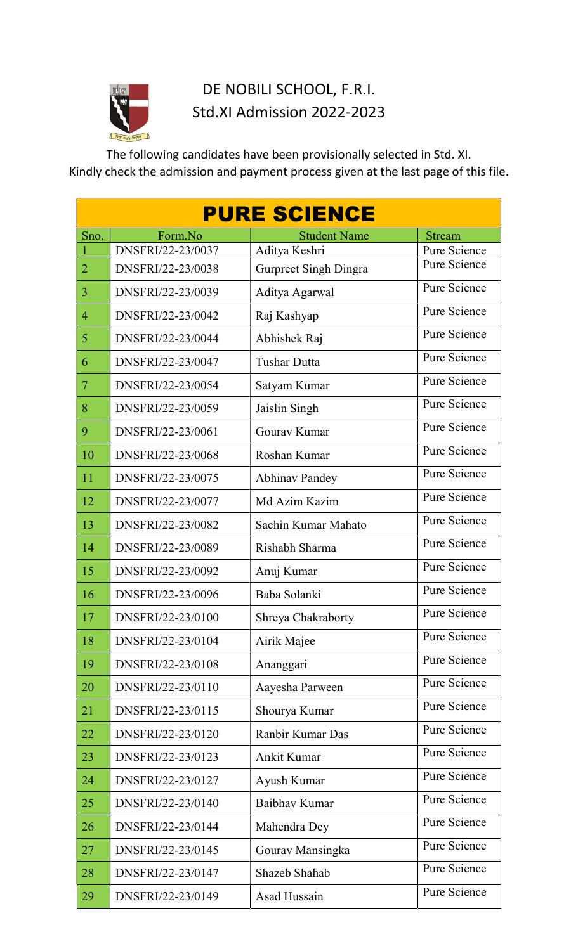

# DE NOBILI SCHOOL, F.R.I. Std.XI Admission 2022-2023

The following candidates have been provisionally selected in Std. XI. Kindly check the admission and payment process given at the last page of this file.

|                | <b>PURE SCIENCE</b> |                              |               |  |  |  |  |  |
|----------------|---------------------|------------------------------|---------------|--|--|--|--|--|
| Sno.           | Form.No             | <b>Student Name</b>          | <b>Stream</b> |  |  |  |  |  |
|                | DNSFRI/22-23/0037   | Aditya Keshri                | Pure Science  |  |  |  |  |  |
| $\overline{2}$ | DNSFRI/22-23/0038   | <b>Gurpreet Singh Dingra</b> | Pure Science  |  |  |  |  |  |
| 3              | DNSFRI/22-23/0039   | Aditya Agarwal               | Pure Science  |  |  |  |  |  |
| $\overline{4}$ | DNSFRI/22-23/0042   | Raj Kashyap                  | Pure Science  |  |  |  |  |  |
| 5              | DNSFRI/22-23/0044   | Abhishek Raj                 | Pure Science  |  |  |  |  |  |
| 6              | DNSFRI/22-23/0047   | <b>Tushar Dutta</b>          | Pure Science  |  |  |  |  |  |
| $\overline{7}$ | DNSFRI/22-23/0054   | Satyam Kumar                 | Pure Science  |  |  |  |  |  |
| 8              | DNSFRI/22-23/0059   | Jaislin Singh                | Pure Science  |  |  |  |  |  |
| 9              | DNSFRI/22-23/0061   | Gourav Kumar                 | Pure Science  |  |  |  |  |  |
| 10             | DNSFRI/22-23/0068   | Roshan Kumar                 | Pure Science  |  |  |  |  |  |
| 11             | DNSFRI/22-23/0075   | <b>Abhinav Pandey</b>        | Pure Science  |  |  |  |  |  |
| 12             | DNSFRI/22-23/0077   | Md Azim Kazim                | Pure Science  |  |  |  |  |  |
| 13             | DNSFRI/22-23/0082   | Sachin Kumar Mahato          | Pure Science  |  |  |  |  |  |
| 14             | DNSFRI/22-23/0089   | Rishabh Sharma               | Pure Science  |  |  |  |  |  |
| 15             | DNSFRI/22-23/0092   | Anuj Kumar                   | Pure Science  |  |  |  |  |  |
| 16             | DNSFRI/22-23/0096   | Baba Solanki                 | Pure Science  |  |  |  |  |  |
| 17             | DNSFRI/22-23/0100   | Shreya Chakraborty           | Pure Science  |  |  |  |  |  |
| 18             | DNSFRI/22-23/0104   | Airik Majee                  | Pure Science  |  |  |  |  |  |
| 19             | DNSFRI/22-23/0108   | Ananggari                    | Pure Science  |  |  |  |  |  |
| 20             | DNSFRI/22-23/0110   | Aayesha Parween              | Pure Science  |  |  |  |  |  |
| 21             | DNSFRI/22-23/0115   | Shourya Kumar                | Pure Science  |  |  |  |  |  |
| 22             | DNSFRI/22-23/0120   | Ranbir Kumar Das             | Pure Science  |  |  |  |  |  |
| 23             | DNSFRI/22-23/0123   | Ankit Kumar                  | Pure Science  |  |  |  |  |  |
| 24             | DNSFRI/22-23/0127   | Ayush Kumar                  | Pure Science  |  |  |  |  |  |
| 25             | DNSFRI/22-23/0140   | Baibhay Kumar                | Pure Science  |  |  |  |  |  |
| 26             | DNSFRI/22-23/0144   | Mahendra Dey                 | Pure Science  |  |  |  |  |  |
| 27             | DNSFRI/22-23/0145   | Gourav Mansingka             | Pure Science  |  |  |  |  |  |
| 28             | DNSFRI/22-23/0147   | Shazeb Shahab                | Pure Science  |  |  |  |  |  |
| 29             | DNSFRI/22-23/0149   | Asad Hussain                 | Pure Science  |  |  |  |  |  |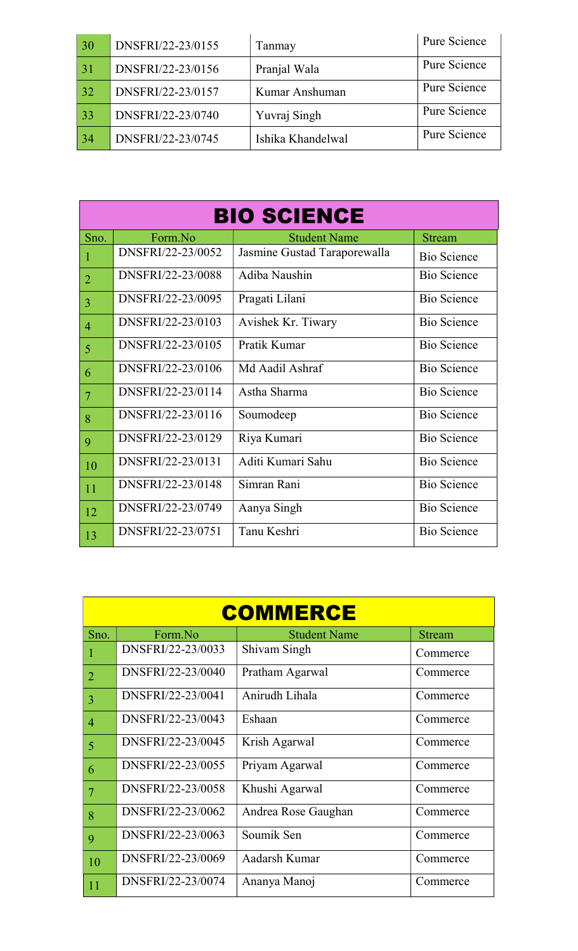| 30 | DNSFRI/22-23/0155 | Tanmay            | Pure Science |
|----|-------------------|-------------------|--------------|
| 31 | DNSFRI/22-23/0156 | Pranjal Wala      | Pure Science |
| 32 | DNSFRI/22-23/0157 | Kumar Anshuman    | Pure Science |
| 33 | DNSFRI/22-23/0740 | Yuvraj Singh      | Pure Science |
| 34 | DNSFRI/22-23/0745 | Ishika Khandelwal | Pure Science |

|                | <b>BIO SCIENCE</b> |                              |                    |  |  |  |  |  |  |
|----------------|--------------------|------------------------------|--------------------|--|--|--|--|--|--|
| Sno.           | Form.No            | <b>Stream</b>                |                    |  |  |  |  |  |  |
| $\mathbf{1}$   | DNSFRI/22-23/0052  | Jasmine Gustad Taraporewalla | <b>Bio Science</b> |  |  |  |  |  |  |
| $\overline{2}$ | DNSFRI/22-23/0088  | Adiba Naushin                | <b>Bio Science</b> |  |  |  |  |  |  |
| $\overline{3}$ | DNSFRI/22-23/0095  | Pragati Lilani               | <b>Bio Science</b> |  |  |  |  |  |  |
| $\overline{4}$ | DNSFRI/22-23/0103  | Avishek Kr. Tiwary           | <b>Bio Science</b> |  |  |  |  |  |  |
| 5              | DNSFRI/22-23/0105  | Pratik Kumar                 | Bio Science        |  |  |  |  |  |  |
| 6              | DNSFRI/22-23/0106  | Md Aadil Ashraf              | Bio Science        |  |  |  |  |  |  |
| $\overline{7}$ | DNSFRI/22-23/0114  | Astha Sharma                 | <b>Bio Science</b> |  |  |  |  |  |  |
| 8              | DNSFRI/22-23/0116  | Soumodeep                    | Bio Science        |  |  |  |  |  |  |
| 9              | DNSFRI/22-23/0129  | Riya Kumari                  | <b>Bio Science</b> |  |  |  |  |  |  |
| 10             | DNSFRI/22-23/0131  | Aditi Kumari Sahu            | <b>Bio Science</b> |  |  |  |  |  |  |
| 11             | DNSFRI/22-23/0148  | Simran Rani                  | <b>Bio Science</b> |  |  |  |  |  |  |
| 12             | DNSFRI/22-23/0749  | Aanya Singh                  | <b>Bio Science</b> |  |  |  |  |  |  |
| 13             | DNSFRI/22-23/0751  | Tanu Keshri                  | <b>Bio Science</b> |  |  |  |  |  |  |

|                | <b>COMMERCE</b>   |                     |          |  |  |  |  |  |  |
|----------------|-------------------|---------------------|----------|--|--|--|--|--|--|
| Sno.           | Form.No           | <b>Stream</b>       |          |  |  |  |  |  |  |
|                | DNSFRI/22-23/0033 | Shivam Singh        | Commerce |  |  |  |  |  |  |
| $\overline{2}$ | DNSFRI/22-23/0040 | Pratham Agarwal     | Commerce |  |  |  |  |  |  |
| 3              | DNSFRI/22-23/0041 | Anirudh Lihala      | Commerce |  |  |  |  |  |  |
| $\overline{4}$ | DNSFRI/22-23/0043 | Eshaan              | Commerce |  |  |  |  |  |  |
| 5              | DNSFRI/22-23/0045 | Krish Agarwal       | Commerce |  |  |  |  |  |  |
| 6              | DNSFRI/22-23/0055 | Priyam Agarwal      | Commerce |  |  |  |  |  |  |
| $\overline{7}$ | DNSFRI/22-23/0058 | Khushi Agarwal      | Commerce |  |  |  |  |  |  |
| 8              | DNSFRI/22-23/0062 | Andrea Rose Gaughan | Commerce |  |  |  |  |  |  |
| 9              | DNSFRI/22-23/0063 | Soumik Sen          | Commerce |  |  |  |  |  |  |
| 10             | DNSFRI/22-23/0069 | Aadarsh Kumar       | Commerce |  |  |  |  |  |  |
| 11             | DNSFRI/22-23/0074 | Ananya Manoj        | Commerce |  |  |  |  |  |  |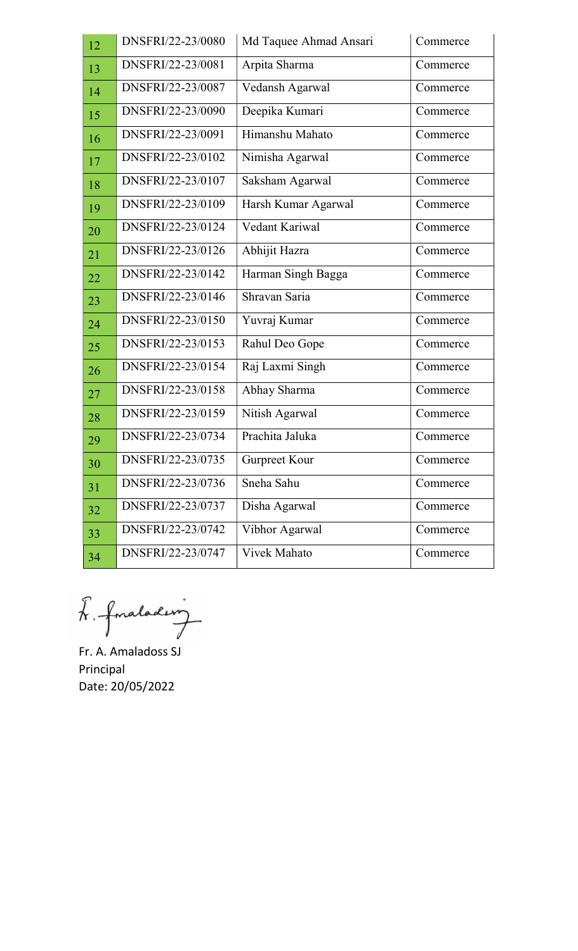| 12 | DNSFRI/22-23/0080 | Md Taquee Ahmad Ansari | Commerce |  |  |
|----|-------------------|------------------------|----------|--|--|
| 13 | DNSFRI/22-23/0081 | Arpita Sharma          | Commerce |  |  |
| 14 | DNSFRI/22-23/0087 | Vedansh Agarwal        | Commerce |  |  |
| 15 | DNSFRI/22-23/0090 | Deepika Kumari         | Commerce |  |  |
| 16 | DNSFRI/22-23/0091 | Himanshu Mahato        | Commerce |  |  |
| 17 | DNSFRI/22-23/0102 | Nimisha Agarwal        | Commerce |  |  |
| 18 | DNSFRI/22-23/0107 | Saksham Agarwal        | Commerce |  |  |
| 19 | DNSFRI/22-23/0109 | Harsh Kumar Agarwal    | Commerce |  |  |
| 20 | DNSFRI/22-23/0124 | Vedant Kariwal         | Commerce |  |  |
| 21 | DNSFRI/22-23/0126 | Abhijit Hazra          | Commerce |  |  |
| 22 | DNSFRI/22-23/0142 | Harman Singh Bagga     | Commerce |  |  |
| 23 | DNSFRI/22-23/0146 | Shravan Saria          | Commerce |  |  |
| 24 | DNSFRI/22-23/0150 | Yuvraj Kumar           | Commerce |  |  |
| 25 | DNSFRI/22-23/0153 | Rahul Deo Gope         | Commerce |  |  |
| 26 | DNSFRI/22-23/0154 | Raj Laxmi Singh        | Commerce |  |  |
| 27 | DNSFRI/22-23/0158 | Abhay Sharma           | Commerce |  |  |
| 28 | DNSFRI/22-23/0159 | Nitish Agarwal         | Commerce |  |  |
| 29 | DNSFRI/22-23/0734 | Prachita Jaluka        | Commerce |  |  |
| 30 | DNSFRI/22-23/0735 | Gurpreet Kour          | Commerce |  |  |
| 31 | DNSFRI/22-23/0736 | Sneha Sahu             | Commerce |  |  |
| 32 | DNSFRI/22-23/0737 | Disha Agarwal          | Commerce |  |  |
| 33 | DNSFRI/22-23/0742 | Vibhor Agarwal         | Commerce |  |  |
| 34 | DNSFRI/22-23/0747 | <b>Vivek Mahato</b>    | Commerce |  |  |

L. fonalading

 Fr. A. Amaladoss SJ Principal Date: 20/05/2022